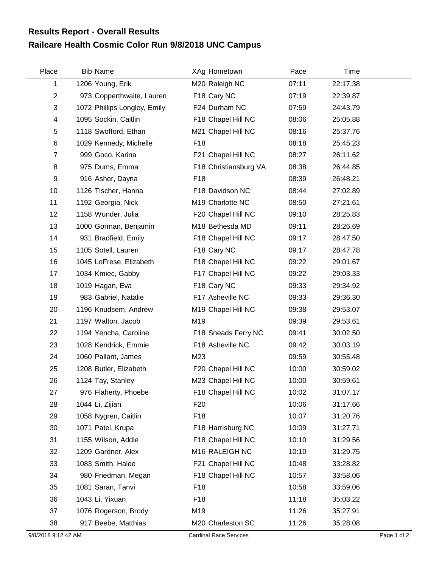## **Railcare Health Cosmic Color Run 9/8/2018 UNC Campus Results Report - Overall Results**

| Place          | <b>Bib Name</b>              | XAg Hometown          | Pace  | Time     |  |
|----------------|------------------------------|-----------------------|-------|----------|--|
| 1              | 1206 Young, Erik             | M20 Raleigh NC        | 07:11 | 22:17.38 |  |
| $\overline{c}$ | 973 Copperthwaite, Lauren    | F18 Cary NC           | 07:19 | 22:39.87 |  |
| 3              | 1072 Phillips Longley, Emily | F24 Durham NC         | 07:59 | 24:43.79 |  |
| 4              | 1095 Sockin, Caitlin         | F18 Chapel Hill NC    | 08:06 | 25:05.88 |  |
| 5              | 1118 Swofford, Ethan         | M21 Chapel Hill NC    | 08:16 | 25:37.76 |  |
| 6              | 1029 Kennedy, Michelle       | F <sub>18</sub>       | 08:18 | 25:45.23 |  |
| $\overline{7}$ | 999 Goco, Karina             | F21 Chapel Hill NC    | 08:27 | 26:11.62 |  |
| 8              | 975 Dums, Emma               | F18 Christiansburg VA | 08:38 | 26:44.85 |  |
| 9              | 916 Asher, Dayna             | F <sub>18</sub>       | 08:39 | 26:48.21 |  |
| 10             | 1126 Tischer, Hanna          | F18 Davidson NC       | 08:44 | 27:02.89 |  |
| 11             | 1192 Georgia, Nick           | M19 Charlotte NC      | 08:50 | 27:21.61 |  |
| 12             | 1158 Wunder, Julia           | F20 Chapel Hill NC    | 09:10 | 28:25.83 |  |
| 13             | 1000 Gorman, Benjamin        | M18 Bethesda MD       | 09:11 | 28:26.69 |  |
| 14             | 931 Bradfield, Emily         | F18 Chapel Hill NC    | 09:17 | 28:47.50 |  |
| 15             | 1105 Sotell, Lauren          | F18 Cary NC           | 09:17 | 28:47.78 |  |
| 16             | 1045 LoFrese, Elizabeth      | F18 Chapel Hill NC    | 09:22 | 29:01.67 |  |
| 17             | 1034 Kmiec, Gabby            | F17 Chapel Hill NC    | 09:22 | 29:03.33 |  |
| 18             | 1019 Hagan, Eva              | F18 Cary NC           | 09:33 | 29:34.92 |  |
| 19             | 983 Gabriel, Natalie         | F17 Asheville NC      | 09:33 | 29:36.30 |  |
| 20             | 1196 Knudsem, Andrew         | M19 Chapel Hill NC    | 09:38 | 29:53.07 |  |
| 21             | 1197 Walton, Jacob           | M19                   | 09:39 | 29:53.61 |  |
| 22             | 1194 Yencha, Caroline        | F18 Sneads Ferry NC   | 09:41 | 30:02.50 |  |
| 23             | 1028 Kendrick, Emmie         | F18 Asheville NC      | 09:42 | 30:03.19 |  |
| 24             | 1060 Pallant, James          | M23                   | 09:59 | 30:55.48 |  |
| 25             | 1208 Butler, Elizabeth       | F20 Chapel Hill NC    | 10:00 | 30:59.02 |  |
| 26             | 1124 Tay, Stanley            | M23 Chapel Hill NC    | 10:00 | 30:59.61 |  |
| 27             | 976 Flaherty, Phoebe         | F18 Chapel Hill NC    | 10:02 | 31:07.17 |  |
| 28             | 1044 Li, Zijian              | F <sub>20</sub>       | 10:06 | 31:17.66 |  |
| 29             | 1058 Nygren, Caitlin         | F18                   | 10:07 | 31:20.76 |  |
| 30             | 1071 Patel, Krupa            | F18 Harrisburg NC     | 10:09 | 31:27.71 |  |
| 31             | 1155 Wilson, Addie           | F18 Chapel Hill NC    | 10:10 | 31:29.56 |  |
| 32             | 1209 Gardner, Alex           | M16 RALEIGH NC        | 10:10 | 31:29.75 |  |
| 33             | 1083 Smith, Halee            | F21 Chapel Hill NC    | 10:48 | 33:28.82 |  |
| 34             | 980 Friedman, Megan          | F18 Chapel Hill NC    | 10:57 | 33:58.06 |  |
| 35             | 1081 Saran, Tanvi            | F <sub>18</sub>       | 10:58 | 33:59.06 |  |
| 36             | 1043 Li, Yixuan              | F18                   | 11:18 | 35:03.22 |  |
| 37             | 1076 Rogerson, Brody         | M19                   | 11:26 | 35:27.91 |  |
| 38             | 917 Beebe, Matthias          | M20 Charleston SC     | 11:26 | 35:28.08 |  |